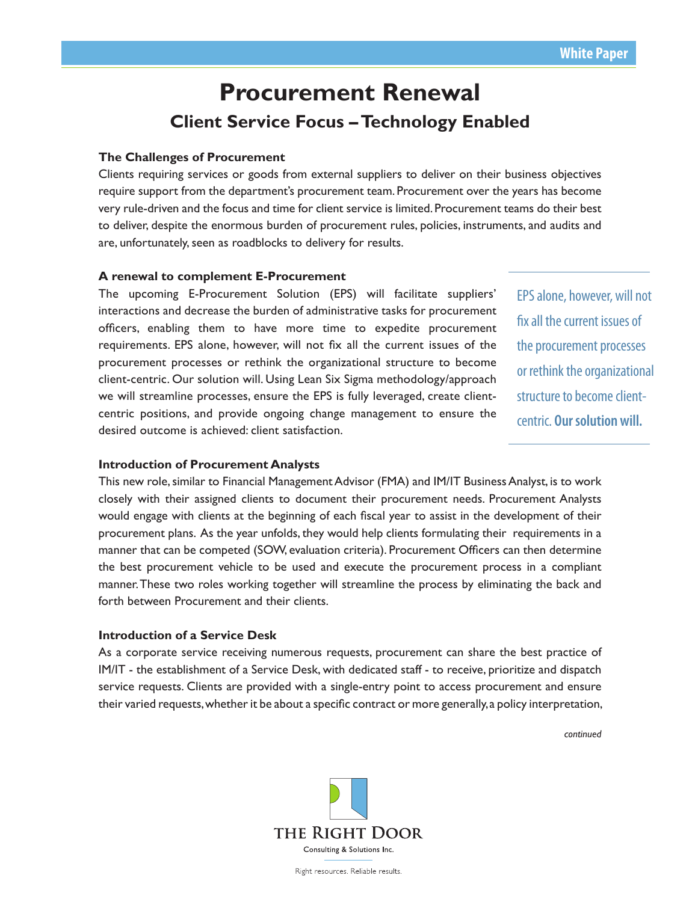# **Procurement Renewal Client Service Focus – Technology Enabled**

## **The Challenges of Procurement**

Clients requiring services or goods from external suppliers to deliver on their business objectives require support from the department's procurement team. Procurement over the years has become very rule-driven and the focus and time for client service is limited. Procurement teams do their best to deliver, despite the enormous burden of procurement rules, policies, instruments, and audits and are, unfortunately, seen as roadblocks to delivery for results.

## **A renewal to complement E-Procurement**

The upcoming E-Procurement Solution (EPS) will facilitate suppliers' interactions and decrease the burden of administrative tasks for procurement officers, enabling them to have more time to expedite procurement requirements. EPS alone, however, will not fix all the current issues of the procurement processes or rethink the organizational structure to become client-centric. Our solution will. Using Lean Six Sigma methodology/approach we will streamline processes, ensure the EPS is fully leveraged, create clientcentric positions, and provide ongoing change management to ensure the desired outcome is achieved: client satisfaction.

EPS alone, however, will not fix all the current issues of the procurement processes or rethink the organizational structure to become clientcentric. **Our solution will.**

### **Introduction of Procurement Analysts**

This new role, similar to Financial Management Advisor (FMA) and IM/IT Business Analyst, is to work closely with their assigned clients to document their procurement needs. Procurement Analysts would engage with clients at the beginning of each fiscal year to assist in the development of their procurement plans. As the year unfolds, they would help clients formulating their requirements in a manner that can be competed (SOW, evaluation criteria). Procurement Officers can then determine the best procurement vehicle to be used and execute the procurement process in a compliant manner. These two roles working together will streamline the process by eliminating the back and forth between Procurement and their clients.

#### **Introduction of a Service Desk**

As a corporate service receiving numerous requests, procurement can share the best practice of IM/IT - the establishment of a Service Desk, with dedicated staff - to receive, prioritize and dispatch service requests. Clients are provided with a single-entry point to access procurement and ensure their varied requests, whether it be about a specific contract or more generally, a policy interpretation,

*continued*



Right resources. Reliable results.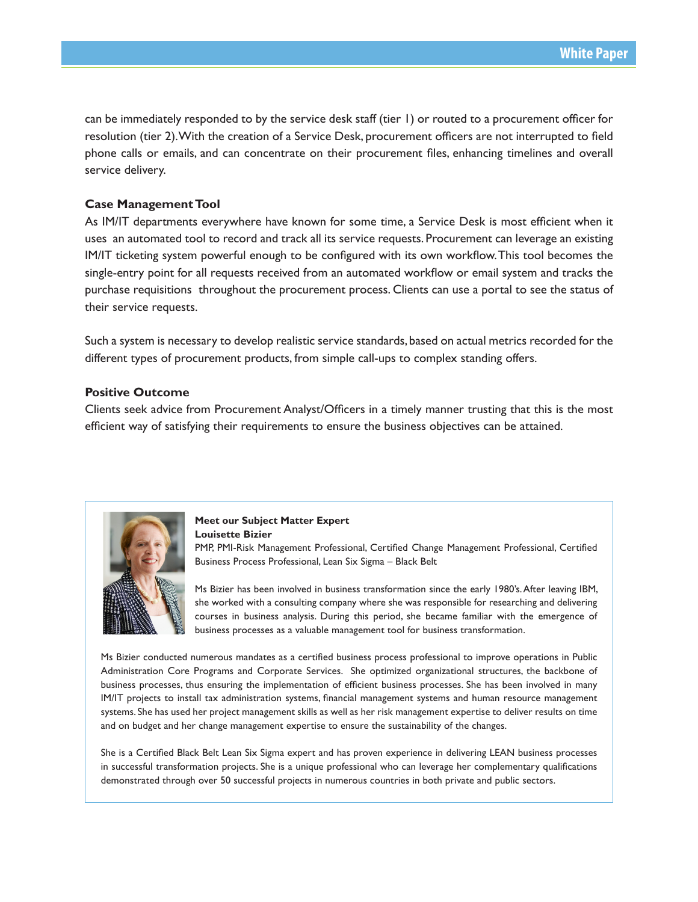can be immediately responded to by the service desk staff (tier 1) or routed to a procurement officer for resolution (tier 2). With the creation of a Service Desk, procurement officers are not interrupted to field phone calls or emails, and can concentrate on their procurement files, enhancing timelines and overall service delivery.

## **Case Management Tool**

As IM/IT departments everywhere have known for some time, a Service Desk is most efficient when it uses an automated tool to record and track all its service requests. Procurement can leverage an existing IM/IT ticketing system powerful enough to be configured with its own workflow. This tool becomes the single-entry point for all requests received from an automated workflow or email system and tracks the purchase requisitions throughout the procurement process. Clients can use a portal to see the status of their service requests.

Such a system is necessary to develop realistic service standards, based on actual metrics recorded for the different types of procurement products, from simple call-ups to complex standing offers.

#### **Positive Outcome**

Clients seek advice from Procurement Analyst/Officers in a timely manner trusting that this is the most efficient way of satisfying their requirements to ensure the business objectives can be attained.



## **Meet our Subject Matter Expert Louisette Bizier**

PMP, PMI-Risk Management Professional, Certified Change Management Professional, Certified Business Process Professional, Lean Six Sigma – Black Belt

Ms Bizier has been involved in business transformation since the early 1980's. After leaving IBM, she worked with a consulting company where she was responsible for researching and delivering courses in business analysis. During this period, she became familiar with the emergence of business processes as a valuable management tool for business transformation.

Ms Bizier conducted numerous mandates as a certified business process professional to improve operations in Public Administration Core Programs and Corporate Services. She optimized organizational structures, the backbone of business processes, thus ensuring the implementation of efficient business processes. She has been involved in many IM/IT projects to install tax administration systems, financial management systems and human resource management systems. She has used her project management skills as well as her risk management expertise to deliver results on time and on budget and her change management expertise to ensure the sustainability of the changes.

She is a Certified Black Belt Lean Six Sigma expert and has proven experience in delivering LEAN business processes in successful transformation projects. She is a unique professional who can leverage her complementary qualifications demonstrated through over 50 successful projects in numerous countries in both private and public sectors.